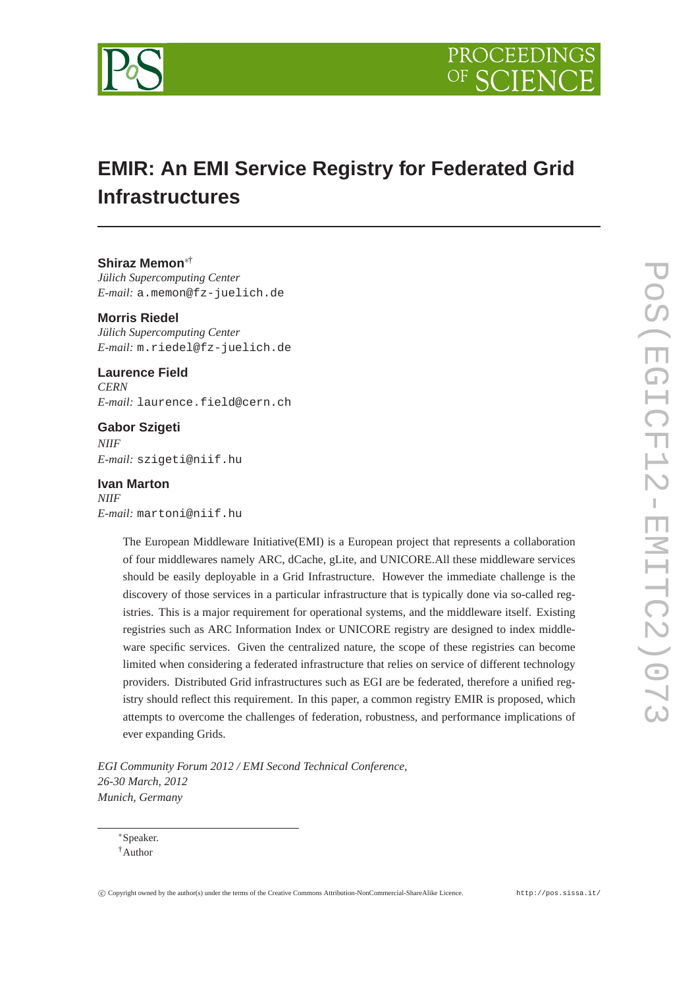



# **EMIR: An EMI Service Registry for Federated Grid Infrastructures**

## **Shiraz Memon**∗†

*Jülich Supercomputing Center E-mail:* a.memon@fz-juelich.de

#### **Morris Riedel**

*Jülich Supercomputing Center E-mail:* m.riedel@fz-juelich.de

# **Laurence Field**

*CERN E-mail:* laurence.field@cern.ch

# **Gabor Szigeti** *NIIF E-mail:* szigeti@niif.hu

**Ivan Marton** *NIIF E-mail:* martoni@niif.hu

> The European Middleware Initiative(EMI) is a European project that represents a collaboration of four middlewares namely ARC, dCache, gLite, and UNICORE.All these middleware services should be easily deployable in a Grid Infrastructure. However the immediate challenge is the discovery of those services in a particular infrastructure that is typically done via so-called registries. This is a major requirement for operational systems, and the middleware itself. Existing registries such as ARC Information Index or UNICORE registry are designed to index middleware specific services. Given the centralized nature, the scope of these registries can become limited when considering a federated infrastructure that relies on service of different technology providers. Distributed Grid infrastructures such as EGI are be federated, therefore a unified registry should reflect this requirement. In this paper, a common registry EMIR is proposed, which attempts to overcome the challenges of federation, robustness, and performance implications of ever expanding Grids.

*EGI Community Forum 2012 / EMI Second Technical Conference, 26-30 March, 2012 Munich, Germany*

<sup>∗</sup>Speaker. †Author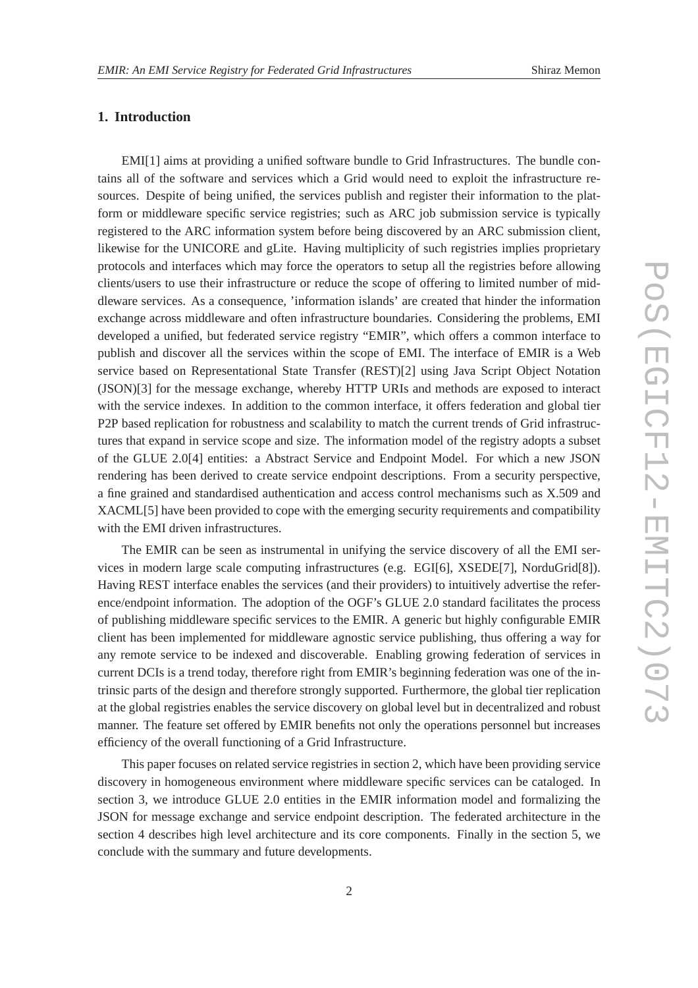# **1. Introduction**

EMI[1] aims at providing a unified software bundle to Grid Infrastructures. The bundle contains all of the software and services which a Grid would need to exploit the infrastructure resources. Despite of being unified, the services publish and register their information to the platform or middleware specific service registries; such as ARC job submission service is typically registered to the ARC information system before being discovered by an ARC submission client, likewise for the UNICORE and gLite. Having multiplicity of such registries implies proprietary protocols and interfaces which may force the operators to setup all the registries before allowing clients/users to use their infrastructure or reduce the scope of offering to limited number of middleware services. As a consequence, 'information islands' are created that hinder the information exchange across middleware and often infrastructure boundaries. Considering the problems, EMI developed a unified, but federated service registry "EMIR", which offers a common interface to publish and discover all the services within the scope of EMI. The interface of EMIR is a Web service based on Representational State Transfer (REST)[2] using Java Script Object Notation (JSON)[3] for the message exchange, whereby HTTP URIs and methods are exposed to interact with the service indexes. In addition to the common interface, it offers federation and global tier P2P based replication for robustness and scalability to match the current trends of Grid infrastructures that expand in service scope and size. The information model of the registry adopts a subset of the GLUE 2.0[4] entities: a Abstract Service and Endpoint Model. For which a new JSON rendering has been derived to create service endpoint descriptions. From a security perspective, a fine grained and standardised authentication and access control mechanisms such as X.509 and XACML[5] have been provided to cope with the emerging security requirements and compatibility with the EMI driven infrastructures.

The EMIR can be seen as instrumental in unifying the service discovery of all the EMI services in modern large scale computing infrastructures (e.g. EGI[6], XSEDE[7], NorduGrid[8]). Having REST interface enables the services (and their providers) to intuitively advertise the reference/endpoint information. The adoption of the OGF's GLUE 2.0 standard facilitates the process of publishing middleware specific services to the EMIR. A generic but highly configurable EMIR client has been implemented for middleware agnostic service publishing, thus offering a way for any remote service to be indexed and discoverable. Enabling growing federation of services in current DCIs is a trend today, therefore right from EMIR's beginning federation was one of the intrinsic parts of the design and therefore strongly supported. Furthermore, the global tier replication at the global registries enables the service discovery on global level but in decentralized and robust manner. The feature set offered by EMIR benefits not only the operations personnel but increases efficiency of the overall functioning of a Grid Infrastructure.

This paper focuses on related service registries in section 2, which have been providing service discovery in homogeneous environment where middleware specific services can be cataloged. In section 3, we introduce GLUE 2.0 entities in the EMIR information model and formalizing the JSON for message exchange and service endpoint description. The federated architecture in the section 4 describes high level architecture and its core components. Finally in the section 5, we conclude with the summary and future developments.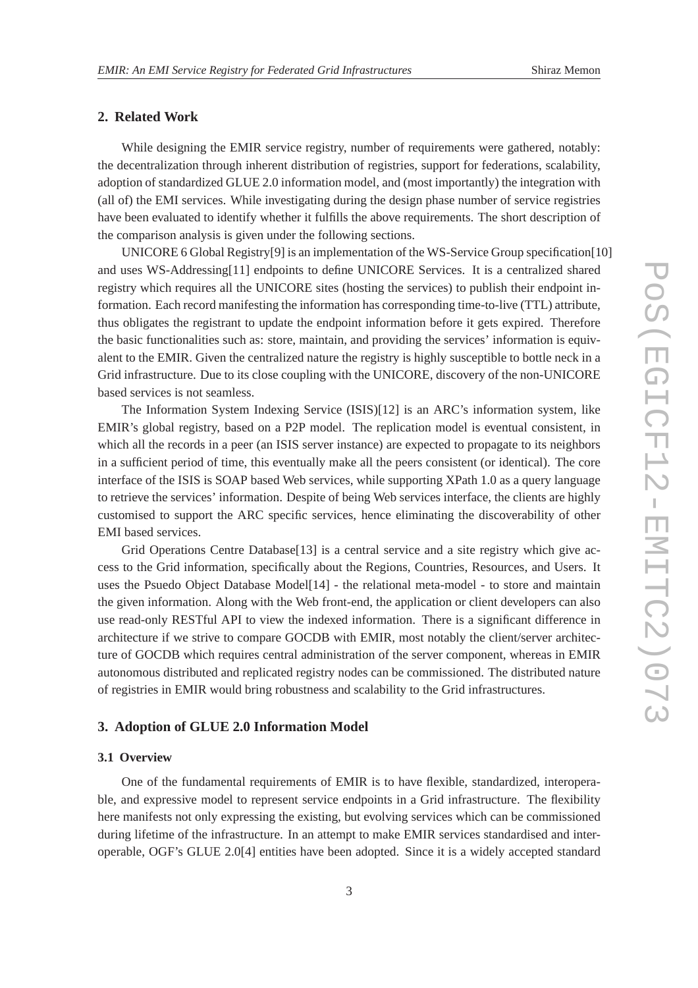# **2. Related Work**

While designing the EMIR service registry, number of requirements were gathered, notably: the decentralization through inherent distribution of registries, support for federations, scalability, adoption of standardized GLUE 2.0 information model, and (most importantly) the integration with (all of) the EMI services. While investigating during the design phase number of service registries have been evaluated to identify whether it fulfills the above requirements. The short description of the comparison analysis is given under the following sections.

UNICORE 6 Global Registry[9] is an implementation of the WS-Service Group specification[10] and uses WS-Addressing[11] endpoints to define UNICORE Services. It is a centralized shared registry which requires all the UNICORE sites (hosting the services) to publish their endpoint information. Each record manifesting the information has corresponding time-to-live (TTL) attribute, thus obligates the registrant to update the endpoint information before it gets expired. Therefore the basic functionalities such as: store, maintain, and providing the services' information is equivalent to the EMIR. Given the centralized nature the registry is highly susceptible to bottle neck in a Grid infrastructure. Due to its close coupling with the UNICORE, discovery of the non-UNICORE based services is not seamless.

The Information System Indexing Service (ISIS)[12] is an ARC's information system, like EMIR's global registry, based on a P2P model. The replication model is eventual consistent, in which all the records in a peer (an ISIS server instance) are expected to propagate to its neighbors in a sufficient period of time, this eventually make all the peers consistent (or identical). The core interface of the ISIS is SOAP based Web services, while supporting XPath 1.0 as a query language to retrieve the services' information. Despite of being Web services interface, the clients are highly customised to support the ARC specific services, hence eliminating the discoverability of other EMI based services.

Grid Operations Centre Database<sup>[13]</sup> is a central service and a site registry which give access to the Grid information, specifically about the Regions, Countries, Resources, and Users. It uses the Psuedo Object Database Model[14] - the relational meta-model - to store and maintain the given information. Along with the Web front-end, the application or client developers can also use read-only RESTful API to view the indexed information. There is a significant difference in architecture if we strive to compare GOCDB with EMIR, most notably the client/server architecture of GOCDB which requires central administration of the server component, whereas in EMIR autonomous distributed and replicated registry nodes can be commissioned. The distributed nature of registries in EMIR would bring robustness and scalability to the Grid infrastructures.

### **3. Adoption of GLUE 2.0 Information Model**

#### **3.1 Overview**

One of the fundamental requirements of EMIR is to have flexible, standardized, interoperable, and expressive model to represent service endpoints in a Grid infrastructure. The flexibility here manifests not only expressing the existing, but evolving services which can be commissioned during lifetime of the infrastructure. In an attempt to make EMIR services standardised and interoperable, OGF's GLUE 2.0[4] entities have been adopted. Since it is a widely accepted standard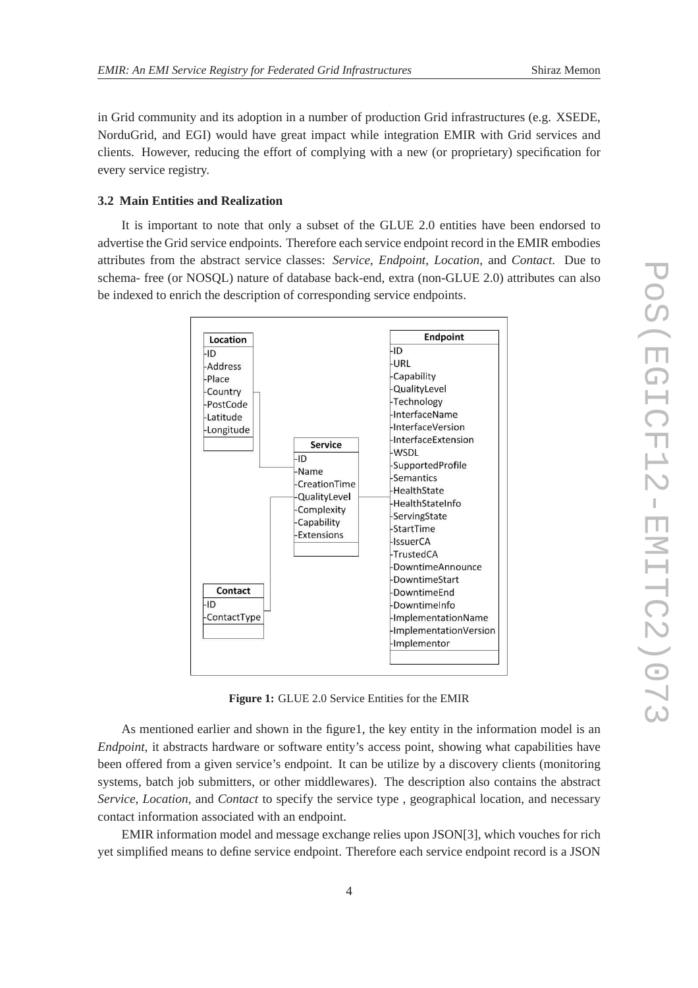in Grid community and its adoption in a number of production Grid infrastructures (e.g. XSEDE, NorduGrid, and EGI) would have great impact while integration EMIR with Grid services and clients. However, reducing the effort of complying with a new (or proprietary) specification for every service registry.

#### **3.2 Main Entities and Realization**

It is important to note that only a subset of the GLUE 2.0 entities have been endorsed to advertise the Grid service endpoints. Therefore each service endpoint record in the EMIR embodies attributes from the abstract service classes: *Service, Endpoint, Location,* and *Contact*. Due to schema- free (or NOSQL) nature of database back-end, extra (non-GLUE 2.0) attributes can also be indexed to enrich the description of corresponding service endpoints.



**Figure 1:** GLUE 2.0 Service Entities for the EMIR

As mentioned earlier and shown in the figure1, the key entity in the information model is an *Endpoint*, it abstracts hardware or software entity's access point, showing what capabilities have been offered from a given service's endpoint. It can be utilize by a discovery clients (monitoring systems, batch job submitters, or other middlewares). The description also contains the abstract *Service*, *Location*, and *Contact* to specify the service type , geographical location, and necessary contact information associated with an endpoint.

EMIR information model and message exchange relies upon JSON[3], which vouches for rich yet simplified means to define service endpoint. Therefore each service endpoint record is a JSON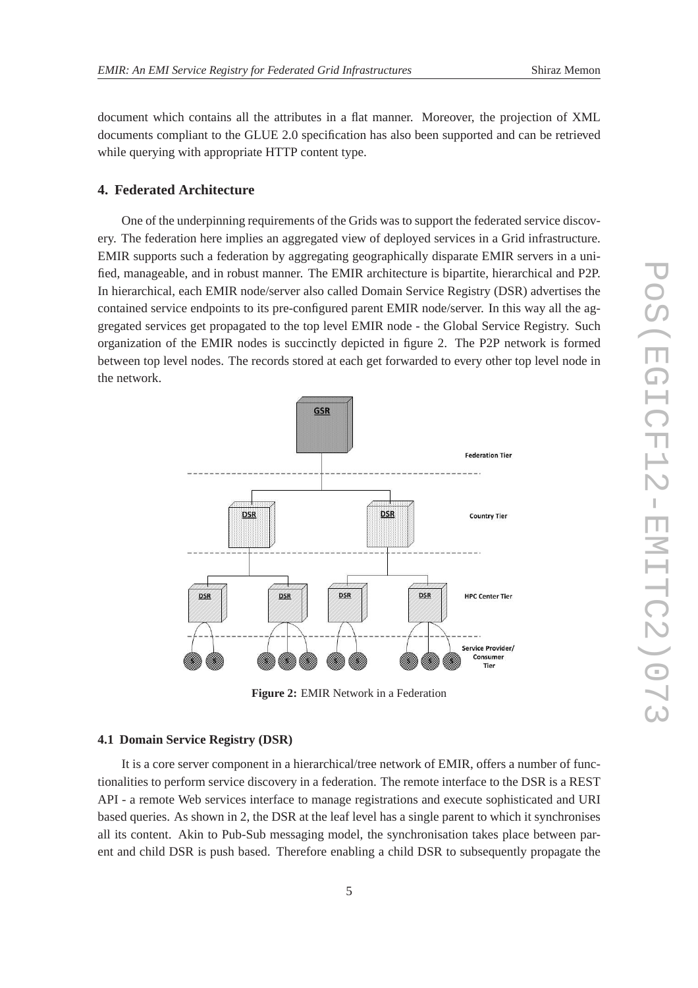while querying with appropriate HTTP content type.

document which contains all the attributes in a flat manner. Moreover, the projection of XML documents compliant to the GLUE 2.0 specification has also been supported and can be retrieved

#### **4. Federated Architecture**

One of the underpinning requirements of the Grids was to support the federated service discovery. The federation here implies an aggregated view of deployed services in a Grid infrastructure. EMIR supports such a federation by aggregating geographically disparate EMIR servers in a unified, manageable, and in robust manner. The EMIR architecture is bipartite, hierarchical and P2P. In hierarchical, each EMIR node/server also called Domain Service Registry (DSR) advertises the contained service endpoints to its pre-configured parent EMIR node/server. In this way all the aggregated services get propagated to the top level EMIR node - the Global Service Registry. Such organization of the EMIR nodes is succinctly depicted in figure 2. The P2P network is formed between top level nodes. The records stored at each get forwarded to every other top level node in the network.



**Figure 2:** EMIR Network in a Federation

#### **4.1 Domain Service Registry (DSR)**

It is a core server component in a hierarchical/tree network of EMIR, offers a number of functionalities to perform service discovery in a federation. The remote interface to the DSR is a REST API - a remote Web services interface to manage registrations and execute sophisticated and URI based queries. As shown in 2, the DSR at the leaf level has a single parent to which it synchronises all its content. Akin to Pub-Sub messaging model, the synchronisation takes place between parent and child DSR is push based. Therefore enabling a child DSR to subsequently propagate the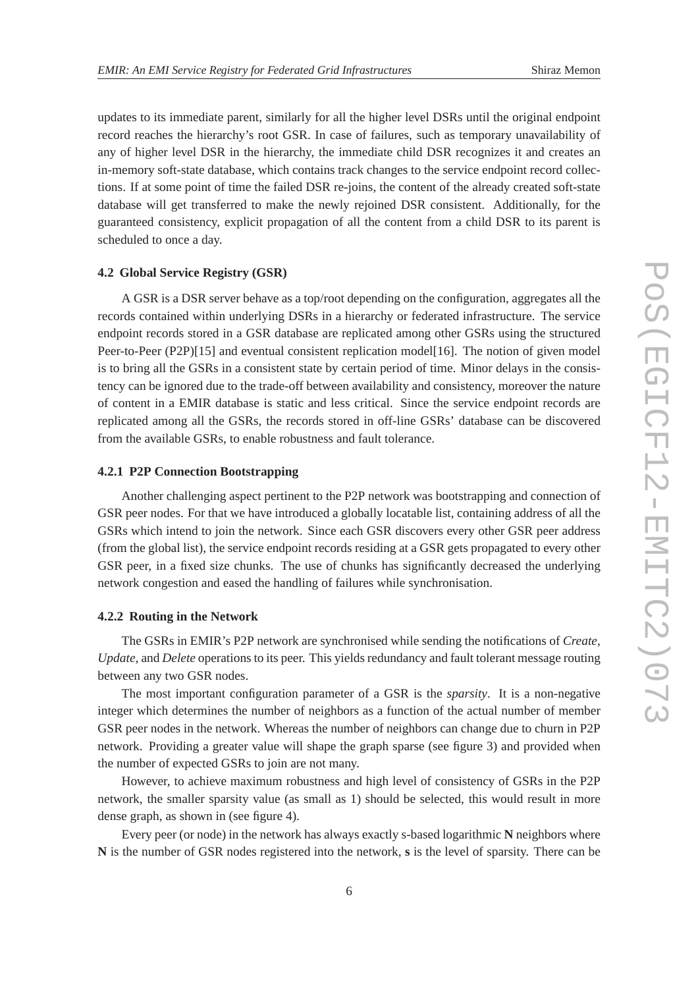updates to its immediate parent, similarly for all the higher level DSRs until the original endpoint record reaches the hierarchy's root GSR. In case of failures, such as temporary unavailability of any of higher level DSR in the hierarchy, the immediate child DSR recognizes it and creates an in-memory soft-state database, which contains track changes to the service endpoint record collections. If at some point of time the failed DSR re-joins, the content of the already created soft-state database will get transferred to make the newly rejoined DSR consistent. Additionally, for the guaranteed consistency, explicit propagation of all the content from a child DSR to its parent is scheduled to once a day.

#### **4.2 Global Service Registry (GSR)**

A GSR is a DSR server behave as a top/root depending on the configuration, aggregates all the records contained within underlying DSRs in a hierarchy or federated infrastructure. The service endpoint records stored in a GSR database are replicated among other GSRs using the structured Peer-to-Peer (P2P)[15] and eventual consistent replication model[16]. The notion of given model is to bring all the GSRs in a consistent state by certain period of time. Minor delays in the consistency can be ignored due to the trade-off between availability and consistency, moreover the nature of content in a EMIR database is static and less critical. Since the service endpoint records are replicated among all the GSRs, the records stored in off-line GSRs' database can be discovered from the available GSRs, to enable robustness and fault tolerance.

#### **4.2.1 P2P Connection Bootstrapping**

Another challenging aspect pertinent to the P2P network was bootstrapping and connection of GSR peer nodes. For that we have introduced a globally locatable list, containing address of all the GSRs which intend to join the network. Since each GSR discovers every other GSR peer address (from the global list), the service endpoint records residing at a GSR gets propagated to every other GSR peer, in a fixed size chunks. The use of chunks has significantly decreased the underlying network congestion and eased the handling of failures while synchronisation.

#### **4.2.2 Routing in the Network**

The GSRs in EMIR's P2P network are synchronised while sending the notifications of *Create*, *Update*, and *Delete* operations to its peer. This yields redundancy and fault tolerant message routing between any two GSR nodes.

The most important configuration parameter of a GSR is the *sparsity*. It is a non-negative integer which determines the number of neighbors as a function of the actual number of member GSR peer nodes in the network. Whereas the number of neighbors can change due to churn in P2P network. Providing a greater value will shape the graph sparse (see figure 3) and provided when the number of expected GSRs to join are not many.

However, to achieve maximum robustness and high level of consistency of GSRs in the P2P network, the smaller sparsity value (as small as 1) should be selected, this would result in more dense graph, as shown in (see figure 4).

Every peer (or node) in the network has always exactly s-based logarithmic **N** neighbors where **N** is the number of GSR nodes registered into the network, **s** is the level of sparsity. There can be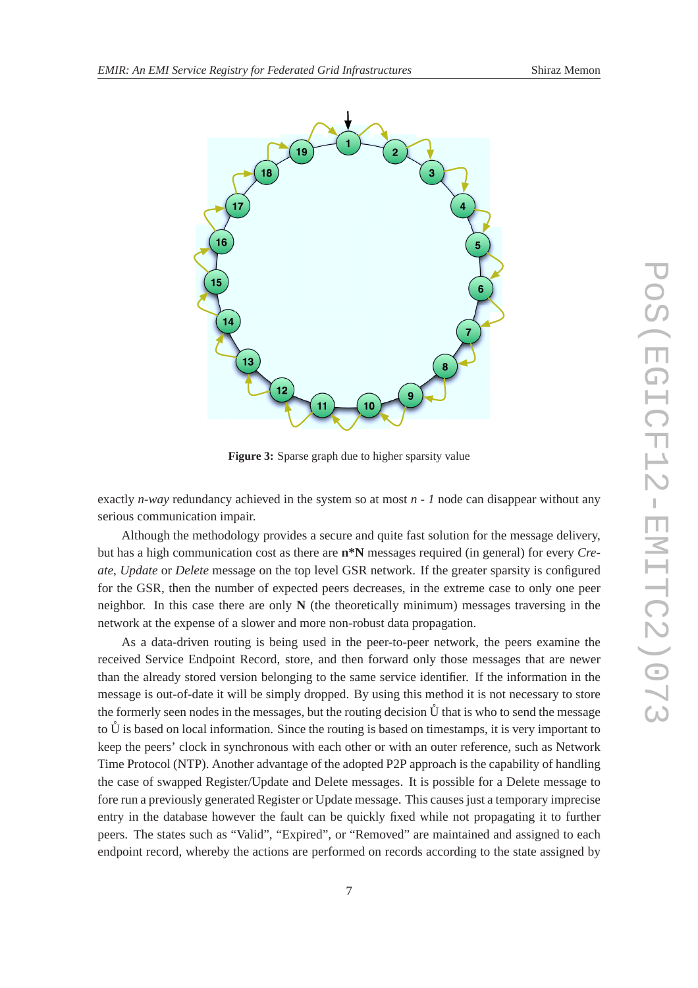

**Figure 3:** Sparse graph due to higher sparsity value

exactly *n-way* redundancy achieved in the system so at most *n - 1* node can disappear without any serious communication impair.

Although the methodology provides a secure and quite fast solution for the message delivery, but has a high communication cost as there are **n\*N** messages required (in general) for every *Create*, *Update* or *Delete* message on the top level GSR network. If the greater sparsity is configured for the GSR, then the number of expected peers decreases, in the extreme case to only one peer neighbor. In this case there are only  $N$  (the theoretically minimum) messages traversing in the network at the expense of a slower and more non-robust data propagation.

As a data-driven routing is being used in the peer-to-peer network, the peers examine the received Service Endpoint Record, store, and then forward only those messages that are newer than the already stored version belonging to the same service identifier. If the information in the message is out-of-date it will be simply dropped. By using this method it is not necessary to store the formerly seen nodes in the messages, but the routing decision  $\mathring{U}$  that is who to send the message to  $\hat{U}$  is based on local information. Since the routing is based on timestamps, it is very important to keep the peers' clock in synchronous with each other or with an outer reference, such as Network Time Protocol (NTP). Another advantage of the adopted P2P approach is the capability of handling the case of swapped Register/Update and Delete messages. It is possible for a Delete message to fore run a previously generated Register or Update message. This causes just a temporary imprecise entry in the database however the fault can be quickly fixed while not propagating it to further peers. The states such as "Valid", "Expired", or "Removed" are maintained and assigned to each endpoint record, whereby the actions are performed on records according to the state assigned by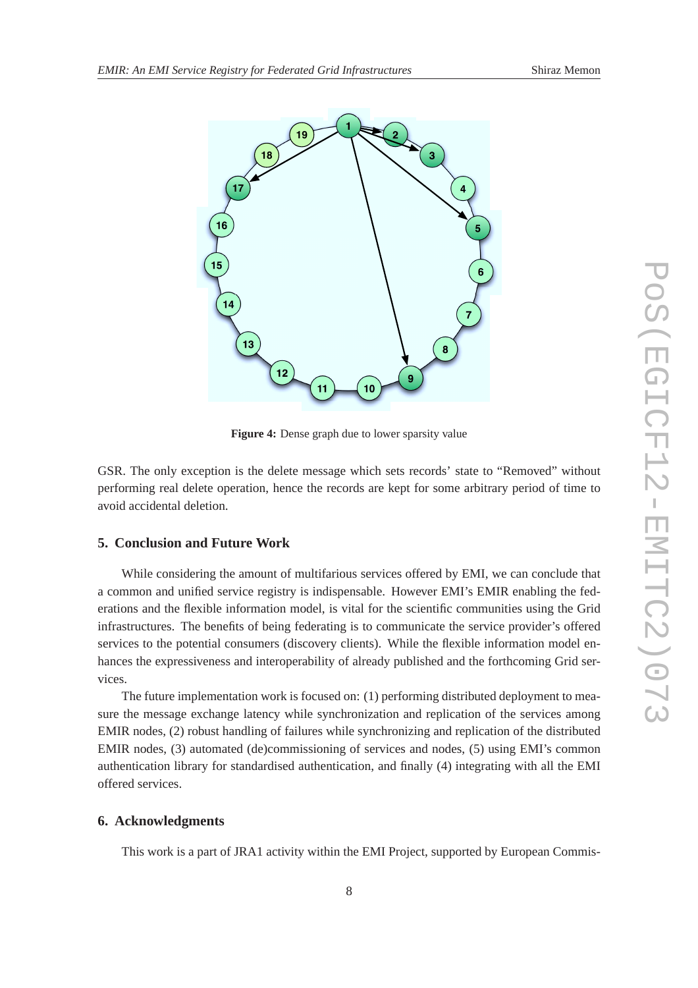

**Figure 4:** Dense graph due to lower sparsity value

GSR. The only exception is the delete message which sets records' state to "Removed" without performing real delete operation, hence the records are kept for some arbitrary period of time to avoid accidental deletion.

#### **5. Conclusion and Future Work**

While considering the amount of multifarious services offered by EMI, we can conclude that a common and unified service registry is indispensable. However EMI's EMIR enabling the federations and the flexible information model, is vital for the scientific communities using the Grid infrastructures. The benefits of being federating is to communicate the service provider's offered services to the potential consumers (discovery clients). While the flexible information model enhances the expressiveness and interoperability of already published and the forthcoming Grid services.

The future implementation work is focused on: (1) performing distributed deployment to measure the message exchange latency while synchronization and replication of the services among EMIR nodes, (2) robust handling of failures while synchronizing and replication of the distributed EMIR nodes, (3) automated (de)commissioning of services and nodes, (5) using EMI's common authentication library for standardised authentication, and finally (4) integrating with all the EMI offered services.

#### **6. Acknowledgments**

This work is a part of JRA1 activity within the EMI Project, supported by European Commis-